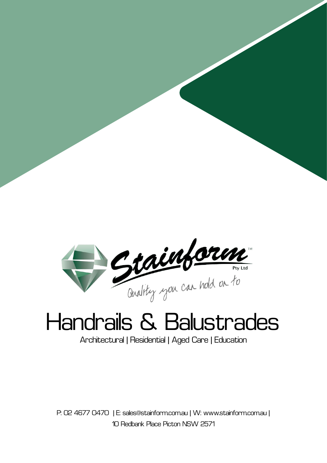

### Handrails & Balustrades

Architectural | Residential | Aged Care | Education

P: 02 4677 0470 | E: sales@stainform.com.au | W: www.stainform.com.au | 10 Redbank Place Picton NSW 2571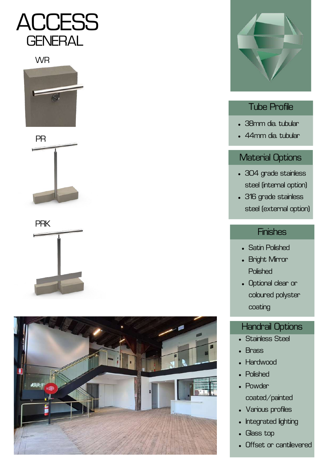

**WR** 











#### Tube Profile

- 38mm dia. tubular
- 44mm dia. tubular

#### Material Options

- 304 grade stainless steel (internal option)
- 316 grade stainless steel (external option)

#### **Finishes**

- Satin Polished  $\bullet$
- Bright Mirror **Polished**
- Optional clear or coloured polyster coating

#### Handrail Options

- Stainless Steel
- **Brass**
- **Hardwood**
- Polished
- Powder coated/painted
- Various profiles
- Integrated lighting  $\bullet$
- Glass top  $\bullet$
- Offset or cantilevered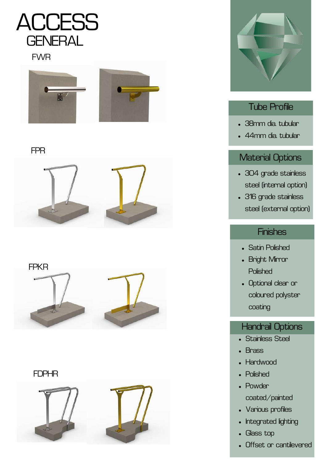

#### FWR



#### FPR



FPKR



#### FDPHR





#### Tube Profile

- 38mm dia. tubular
- 44mm dia. tubular

#### Material Options

- 304 grade stainless steel (internal option)
- 316 grade stainless steel (external option)

#### **Finishes**

- **Satin Polished**  $\bullet$
- Bright Mirror **Polished**
- Optional clear or coloured polyster coating

#### Handrail Options

- Stainless Steel
- **Brass**  $\blacksquare$
- Hardwood
- Polished
- Powder coated/painted
- Various profiles
- Integrated lighting  $\bullet$
- Glass top  $\bullet$
- Offset or cantilevered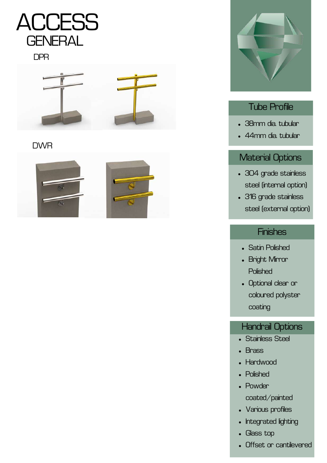

#### DPR



#### DWR





#### Tube Profile

- 38mm dia. tubular
- 44mm dia. tubular

#### Material Options

- 304 grade stainless steel (internal option)
- 316 grade stainless steel (external option)

#### **Finishes**

- **Satin Polished**  $\bullet$
- Bright Mirror **Polished**
- Optional clear or coloured polyster coating

#### Handrail Options

- Stainless Steel
- **Brass**  $\bullet$
- Hardwood
- Polished
- Powder coated/painted
- Various profiles
- Integrated lighting  $\bullet$
- Glass top  $\bullet$
- Offset or cantilevered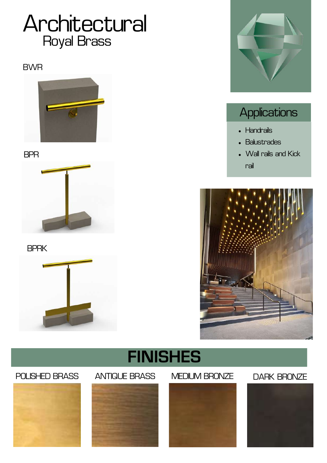### Royal Brass Architectural

#### BWR



BPR



BPRK





### **Applications**

- Handrails
- Balustrades
- Wall rails and Kick rail



### **FINISHES**

#### POLISHED BRASS ANTIQUE BRASS MEDIUM BRONZE DARK BRONZE







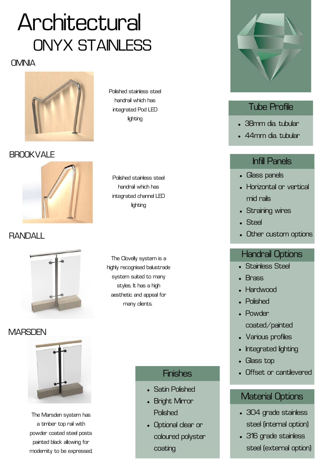### Architectural ONYX STANLESS

#### **OMNIA**



**BROOKVALE** 



#### RANDALL



#### **MARSDEN**



The Marsden system has a timber top rail with powder coated steel posts painted black allowing for modernity to be expressed. Polished stainless steel handrail which has integrated Pod LED lighting

Polished stainless steel handrail which has integrated channel LED lighting

The Clovelly system is a highly recognised balustrade system suited to many styles. It has a high aesthetic and appeal for many clients.

#### **Finishes**

- Satin Polished
- Bright Mirror **Polished**
- Optional clear or coloured polyster coating



#### Tube Profile

- 38mm dia. tubular
- 44mm dia. tubular

#### Infill Panels

- Glass panels
- Horizontal or vertical mid rails
- Straining wires
- **Steel**
- Other custom options

#### Handrail Options

- Stainless Steel
- **Brass**
- Hardwood
- Polished
- Powder coated/painted
- Various profiles
- Integrated lighting
- Glass top
- Offset or cantilevered

#### Material Options

- 304 grade stainless steel (internal option)
- 316 grade stainless steel (external option)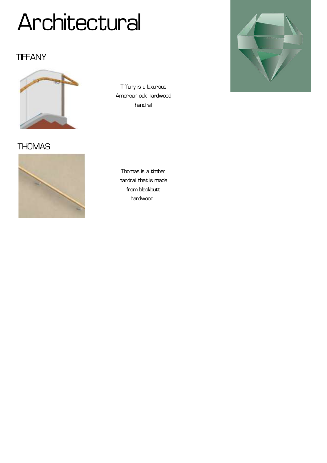#### **TIFFANY**



Tiffany is a luxurious American oak hardwood handrail



**THOMAS** 



Thomas is a timber handrail that is made from blackbutt hardwood.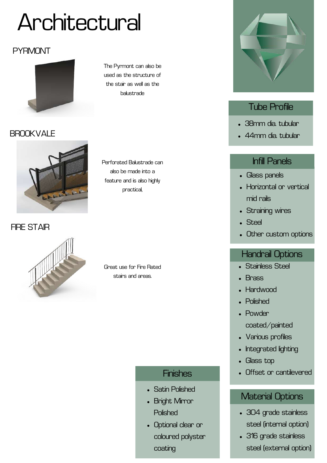#### **PYRMONT**



BROOKVALE

**FIRE STAIR** 



The Pyrmont can also be used as the structure of the stair as well as the balustrade

Perforated Balustrade can also be made into a feature and is also highly practical,

Great use for Fire Rated stairs and areas.

#### **Finishes**

- Satin Polished
- Bright Mirror **Polished**
- Optional clear or coloured polyster coating



#### Tube Profile

- 38mm dia. tubular
- 44mm dia. tubular

#### Infill Panels

- Glass panels
- Horizontal or vertical mid rails
- Straining wires
- Steel
- Other custom options

#### Handrail Options

- Stainless Steel
- **Brass**
- Hardwood
- Polished
- Powder coated/painted
- Various profiles
- Integrated lighting  $\bullet$
- Glass top
- Offset or cantilevered

#### Material Options

- 304 grade stainless steel (internal option)
- 316 grade stainless steel (external option)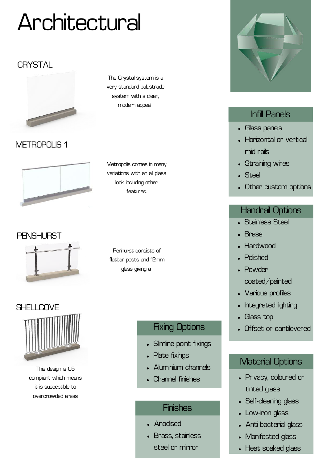#### **CRYSTAL**



METROPOLIS<sub>1</sub>



The Crystal system is a very standard balustrade system with a clean, modern appeal

Metropolis comes in many variations with an all glass look including other features.

Penhurst consists of flatbar posts and 12mm glass giving a



This design is C5 compliant which means it is susceptible to overcrowded areas

#### Fixing Options

- Slimline point fixings
- Plate fixings
- Aluminium channels
- Channel finishes

#### **Finishes**

- Anodised
- Brass, stainless steel or mirror



#### Infill Panels

- Glass panels
- Horizontal or vertical mid rails
- Straining wires
- Steel
- Other custom options

#### Handrail Options

- Stainless Steel
- Brass
- Hardwood
- Polished
- Powder coated/painted
- Various profiles
- Integrated lighting  $\bullet$
- Glass top
- Offset or cantilevered

#### Material Options

- Privacy, coloured or tinted glass
- Self-cleaning glass
- Low-iron glass
- Anti bacterial glass
- Manifested glass
- Heat soaked glass

#### PFNSHURST

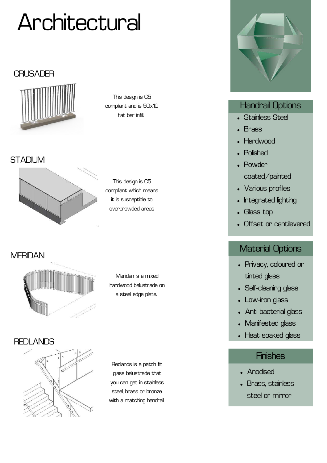#### **CRUSADER**



This design is C5 compliant and is 50x10 flat bar infill.

#### **STADIUM**



This design is C5 compliant which means it is susceptible to overcrowded areas

**MERIDAN** 



Meridan is a mixed hardwood balustrade on a steel edge plate.

#### REDLANDS



Redlands is a patch fit glass balustrade that you can get in stainless steel, brass or bronze. with a matching handrail



#### Handrail Options

- Stainless Steel
- Brass
- Hardwood
- Polished
- Powder coated/painted
- Various profiles
- Integrated lighting
- Glass top
- Offset or cantilevered

#### Material Options

- Privacy, coloured or tinted glass
- Self-cleaning glass
- Low-iron glass
- Anti bacterial glass
- Manifested glass
- Heat soaked glass

- Anodised
- Brass, stainless steel or mirror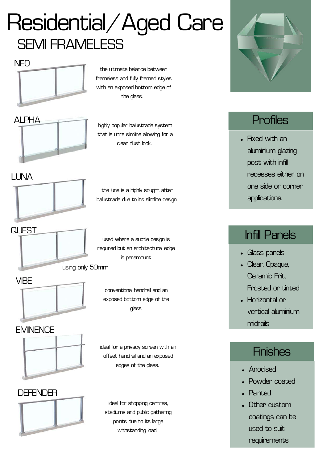### Residential/Aged Care SEMI FRAMELESS



ALPHA

the ultimate balance between frameless and fully framed styles with an exposed bottom edge of the glass.

highly popular balustrade system that is ultra slimline allowing for a clean flush look.

LUNA



the luna is a highly sought after balustrade due to its slimline design.

**QUEST** 

used where a subtle design is required but an architectural edge is paramount.





conventional handrail and an exposed bottom edge of the glass.



ideal for a privacy screen with an offset handrail and an exposed edges of the glass.



ideal for shopping centres, stadiums and public gathering points due to its large withstanding load.



#### **Profiles**

Fixed with an aluminium glazing post with infill recesses either on one side or corner applications.

### Infill Panels

- Glass panels
- Clear, Opaque, Ceramic Frit, Frosted or tinted
- Horizontal or vertical aluminium midrails

- Anodised
- Powder coated
- Painted
- Other custom coatings can be used to suit requirements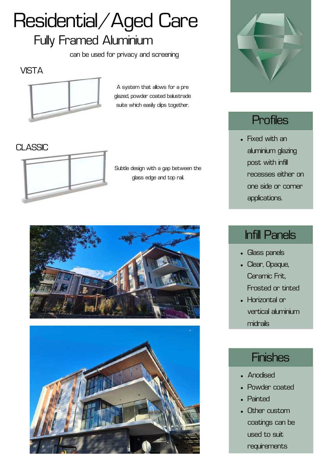## Residential/Aged Care

#### Fully Framed Aluminium

can be used for privacy and screening

**VISTA** 



A system that allows for a pre glazed, powder coated balustrade suite which easily clips together.

CLASSIC



Subtle design with a gap between the glass edge and top rail.







#### **Profiles**

Fixed with an aluminium glazing post with infill recesses either on one side or corner applications.

### Infill Panels

- Glass panels
- Clear, Opaque, Ceramic Frit, Frosted or tinted
- Horizontal or vertical aluminium midrails

- Anodised
- Powder coated
- Painted
- Other custom coatings can be used to suit requirements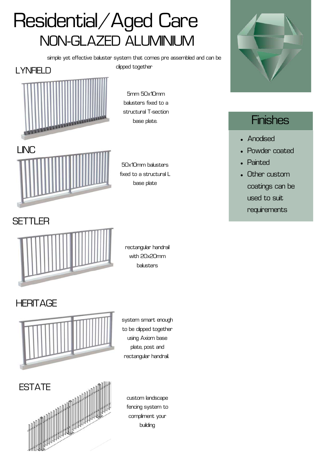### NON-GLAZED ALUMINIUM Residential/Aged Care

simple yet effective baluster system that comes pre assembled and can be clipped together



5mm 50x10mm balusters fixed to a structural T-section base plate.



50x10mm balusters fixed to a structural L base plate

#### **SETTLER**



rectangular handrail with 20x20mm balusters

#### **HERITAGE**



system smart enough to be clipped together using Axiom base plate, post and rectangular handrail.



custom landscape fencing system to compliment your building



- Anodised
- Powder coated
- Painted
- Other custom coatings can be used to suit requirements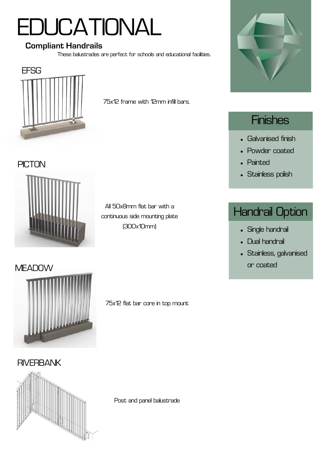## **EDUCATIONAL**

#### **Compliant Handrails**

These balustrades are perfect for schools and educational facilities.



75x12 frame with 12mm infill bars.

#### **PICTON**



#### All 50x8mm flat bar with a continuous side mounting plate (300x10mm)



#### **Finishes**

- Galvanised finish
- Powder coated
- Painted
- Stainless polish

#### Handrail Option

- Single handrail
- Dual handrail
- Stainless, galvanised or coated



75x12 flat bar core in top mount

**RIVERBANK** 



Post and panel balustrade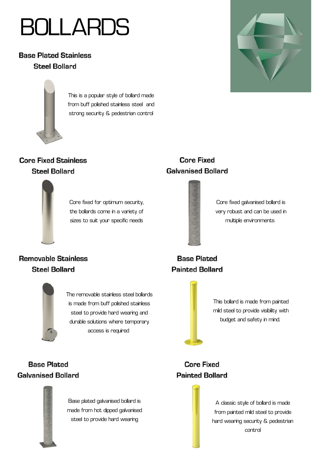### BOLLARDS

**Base Plated Stainless Steel Bollard** 



This is a popular style of bollard made from buff polished stainless steel and strong security & pedestrian control

#### **Core Fixed Stainless Steel Bollard**



Core fixed for optimum security, the bollards come in a variety of sizes to suit your specific needs

#### **Core Fixed Galvanised Bollard**



Core fixed galvanised bollard is very robust and can be used in multiple environments

#### **Removable Stainless Steel Bollard**



#### **Base Plated Painted Bollard**



This bollard is made from painted mild steel to provide visibility with budget and safety in mind.

**Base Plated Galvanised Bollard** 



Base plated galvanised bollard is made from hot dipped galvanised steel to provide hard wearing

#### **Core Fixed Painted Bollard**



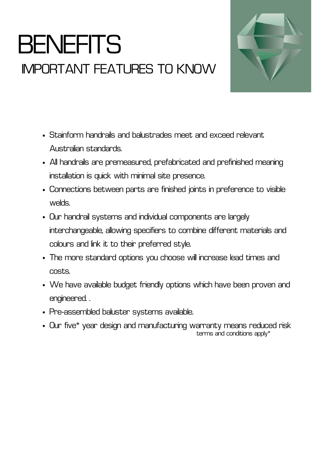### **BENEFITS** IMPORTANT FEATURES TO KNOW



- Stainform handrails and balustrades meet and exceed relevant Australian standards.
- All handrails are premeasured, prefabricated and prefinished meaning installation is quick with minimal site presence.
- Connections between parts are finished joints in preference to visible welds.
- Our handrail systems and individual components are largely interchangeable, allowing specifiers to combine different materials and colours and link it to their preferred style.
- The more standard options you choose will increase lead times and costs.
- We have available budget friendly options which have been proven and engineered. .
- Pre-assembled baluster systems available.
- Our five\* year design and manufacturing warranty means reduced risk terms and conditions apply\*